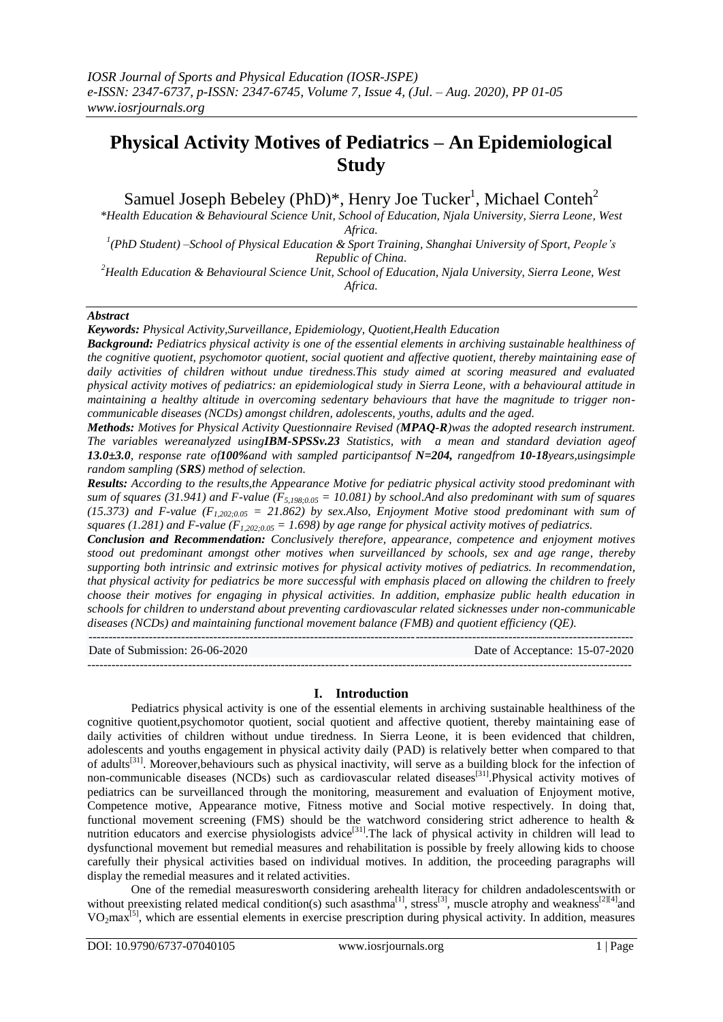# **Physical Activity Motives of Pediatrics – An Epidemiological Study**

Samuel Joseph Bebeley (PhD)\*, Henry Joe Tucker<sup>1</sup>, Michael Conteh<sup>2</sup>

*\*Health Education & Behavioural Science Unit, School of Education, Njala University, Sierra Leone, West Africa.*

*1 (PhD Student) –School of Physical Education & Sport Training, Shanghai University of Sport, People's Republic of China.*

*<sup>2</sup>Health Education & Behavioural Science Unit, School of Education, Njala University, Sierra Leone, West Africa.*

## *Abstract*

*Keywords: Physical Activity,Surveillance, Epidemiology, Quotient,Health Education*

*Background: Pediatrics physical activity is one of the essential elements in archiving sustainable healthiness of the cognitive quotient, psychomotor quotient, social quotient and affective quotient, thereby maintaining ease of daily activities of children without undue tiredness.This study aimed at scoring measured and evaluated physical activity motives of pediatrics: an epidemiological study in Sierra Leone, with a behavioural attitude in maintaining a healthy altitude in overcoming sedentary behaviours that have the magnitude to trigger noncommunicable diseases (NCDs) amongst children, adolescents, youths, adults and the aged.*

*Methods: Motives for Physical Activity Questionnaire Revised (MPAQ-R)was the adopted research instrument. The variables wereanalyzed usingIBM-SPSSv.23 Statistics, with a mean and standard deviation ageof 13.0±3.0, response rate of100%and with sampled participantsof N=204, rangedfrom 10-18years,usingsimple random sampling (SRS) method of selection.*

*Results: According to the results,the Appearance Motive for pediatric physical activity stood predominant with sum of squares (31.941) and F-value (F5,198;0.05 = 10.081) by school.And also predominant with sum of squares (15.373) and F-value (F1,202;0.05 = 21.862) by sex.Also, Enjoyment Motive stood predominant with sum of squares (1.281) and F-value (F1,202;0.05 = 1.698) by age range for physical activity motives of pediatrics.*

*Conclusion and Recommendation: Conclusively therefore, appearance, competence and enjoyment motives stood out predominant amongst other motives when surveillanced by schools, sex and age range, thereby supporting both intrinsic and extrinsic motives for physical activity motives of pediatrics. In recommendation, that physical activity for pediatrics be more successful with emphasis placed on allowing the children to freely choose their motives for engaging in physical activities. In addition, emphasize public health education in schools for children to understand about preventing cardiovascular related sicknesses under non-communicable diseases (NCDs) and maintaining functional movement balance (FMB) and quotient efficiency (QE).*  $-1.1$ 

Date of Submission: 26-06-2020 Date of Acceptance: 15-07-2020 ---------------------------------------------------------------------------------------------------------------------------------------

# **I. Introduction**

Pediatrics physical activity is one of the essential elements in archiving sustainable healthiness of the cognitive quotient,psychomotor quotient, social quotient and affective quotient, thereby maintaining ease of daily activities of children without undue tiredness. In Sierra Leone, it is been evidenced that children, adolescents and youths engagement in physical activity daily (PAD) is relatively better when compared to that of adults<sup>[31]</sup>. Moreover,behaviours such as physical inactivity, will serve as a building block for the infection of non-communicable diseases (NCDs) such as cardiovascular related diseases<sup>[31]</sup>. Physical activity motives of pediatrics can be surveillanced through the monitoring, measurement and evaluation of Enjoyment motive, Competence motive, Appearance motive, Fitness motive and Social motive respectively. In doing that, functional movement screening (FMS) should be the watchword considering strict adherence to health & nutrition educators and exercise physiologists advice<sup>[31]</sup>. The lack of physical activity in children will lead to dysfunctional movement but remedial measures and rehabilitation is possible by freely allowing kids to choose carefully their physical activities based on individual motives. In addition, the proceeding paragraphs will display the remedial measures and it related activities.

One of the remedial measuresworth considering arehealth literacy for children andadolescentswith or without preexisting related medical condition(s) such asasthma<sup>[1]</sup>, stress<sup>[3]</sup>, muscle atrophy and weakness<sup>[2][4]</sup>and  $VO<sub>2</sub>max<sup>[5]</sup>$ , which are essential elements in exercise prescription during physical activity. In addition, measures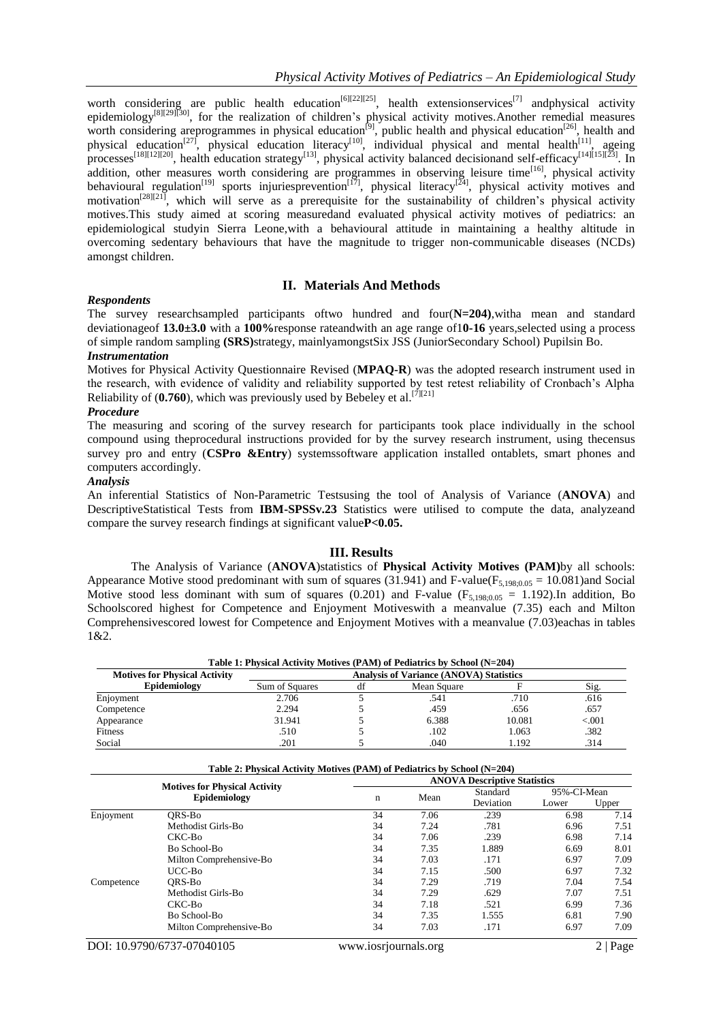worth considering are public health education<sup>[6][22][25]</sup>, health extensionservices<sup>[7]</sup> andphysical activity epidemiology<sup>[8][29][30]</sup>, for the realization of children's physical activity motives.Another remedial measures worth considering areprogrammes in physical education<sup>[9]</sup>, public health and physical education<sup>[26]</sup>, health and physical education<sup>[27]</sup>, physical education literacy<sup>[10]</sup>, individual physical and mental health<sup>[11]</sup>, ageing processes<sup>[18][12][20]</sup>, health education strategy<sup>[13]</sup>, physical activity balanced decisionand self-efficacy<sup>[14][15][23]</sup>. In addition, other measures worth considering are programmes in observing leisure time<sup>[16]</sup>, physical activity behavioural regulation<sup>[19]</sup> sports injuriesprevention<sup>[17]</sup>, physical literacy<sup>[24]</sup>, physical activity motives and behavioural regulation<sup>[19]</sup> motivation<sup>[28][21]</sup>, which will serve as a prerequisite for the sustainability of children's physical activity motives.This study aimed at scoring measuredand evaluated physical activity motives of pediatrics: an epidemiological studyin Sierra Leone,with a behavioural attitude in maintaining a healthy altitude in overcoming sedentary behaviours that have the magnitude to trigger non-communicable diseases (NCDs) amongst children.

# **II. Materials And Methods**

## *Respondents*

The survey researchsampled participants oftwo hundred and four(**N=204)**,witha mean and standard deviationageof **13.0±3.0** with a **100%**response rateandwith an age range of1**0-16** years,selected using a process of simple random sampling **(SRS)**strategy, mainlyamongstSix JSS (JuniorSecondary School) Pupilsin Bo.

### *Instrumentation*

Motives for Physical Activity Questionnaire Revised (**MPAQ-R**) was the adopted research instrument used in the research, with evidence of validity and reliability supported by test retest reliability of Cronbach's Alpha Reliability of  $(0.760)$ , which was previously used by Bebeley et al.<sup>[7][21]</sup>

#### *Procedure*

The measuring and scoring of the survey research for participants took place individually in the school compound using theprocedural instructions provided for by the survey research instrument, using thecensus survey pro and entry (**CSPro &Entry**) systemssoftware application installed ontablets, smart phones and computers accordingly.

#### *Analysis*

An inferential Statistics of Non-Parametric Testsusing the tool of Analysis of Variance (**ANOVA**) and DescriptiveStatistical Tests from **IBM-SPSSv.23** Statistics were utilised to compute the data, analyzeand compare the survey research findings at significant value**P<0.05.**

#### **III. Results**

The Analysis of Variance (**ANOVA**)statistics of **Physical Activity Motives (PAM)**by all schools: Appearance Motive stood predominant with sum of squares (31.941) and F-value( $F_{5,198;0.05} = 10.081$ )and Social Motive stood less dominant with sum of squares (0.201) and F-value ( $F_{5,198;0.05} = 1.192$ ). In addition, Bo Schoolscored highest for Competence and Enjoyment Motiveswith a meanvalue (7.35) each and Milton Comprehensivescored lowest for Competence and Enjoyment Motives with a meanvalue (7.03)eachas in tables 1&2.

| Table 1: Physical Activity Motives (PAM) of Pediatrics by School (N=204) |                                                |    |             |        |         |  |  |  |
|--------------------------------------------------------------------------|------------------------------------------------|----|-------------|--------|---------|--|--|--|
| <b>Motives for Physical Activity</b>                                     | <b>Analysis of Variance (ANOVA) Statistics</b> |    |             |        |         |  |  |  |
| Epidemiology                                                             | Sum of Squares                                 | df | Mean Square |        | Sig.    |  |  |  |
| Enjoyment                                                                | 2.706                                          |    | .541        | .710   | .616    |  |  |  |
| Competence                                                               | 2.294                                          |    | .459        | .656   | .657    |  |  |  |
| Appearance                                                               | 31.941                                         |    | 6.388       | 10.081 | < 0.001 |  |  |  |
| <b>Fitness</b>                                                           | .510                                           |    | .102        | 1.063  | .382    |  |  |  |
| Social                                                                   | .201                                           |    | .040        | 1.192  | .314    |  |  |  |

|            |                                                      | <b>ANOVA Descriptive Statistics</b> |      |           |             |       |  |  |
|------------|------------------------------------------------------|-------------------------------------|------|-----------|-------------|-------|--|--|
|            | <b>Motives for Physical Activity</b><br>Epidemiology |                                     |      | Standard  | 95%-CI-Mean |       |  |  |
|            |                                                      | n                                   | Mean | Deviation | Lower       | Upper |  |  |
| Enjoyment  | ORS-Bo                                               | 34                                  | 7.06 | .239      | 6.98        | 7.14  |  |  |
|            | Methodist Girls-Bo                                   | 34                                  | 7.24 | .781      | 6.96        | 7.51  |  |  |
|            | CKC-Bo                                               | 34                                  | 7.06 | .239      | 6.98        | 7.14  |  |  |
|            | Bo School-Bo                                         | 34                                  | 7.35 | 1.889     | 6.69        | 8.01  |  |  |
|            | Milton Comprehensive-Bo                              | 34                                  | 7.03 | .171      | 6.97        | 7.09  |  |  |
|            | $UCC-B0$                                             | 34                                  | 7.15 | .500      | 6.97        | 7.32  |  |  |
| Competence | ORS-Bo                                               | 34                                  | 7.29 | .719      | 7.04        | 7.54  |  |  |
|            | Methodist Girls-Bo                                   | 34                                  | 7.29 | .629      | 7.07        | 7.51  |  |  |
|            | CKC-Bo                                               | 34                                  | 7.18 | .521      | 6.99        | 7.36  |  |  |
|            | Bo School-Bo                                         | 34                                  | 7.35 | 1.555     | 6.81        | 7.90  |  |  |
|            | Milton Comprehensive-Bo                              | 34                                  | 7.03 | .171      | 6.97        | 7.09  |  |  |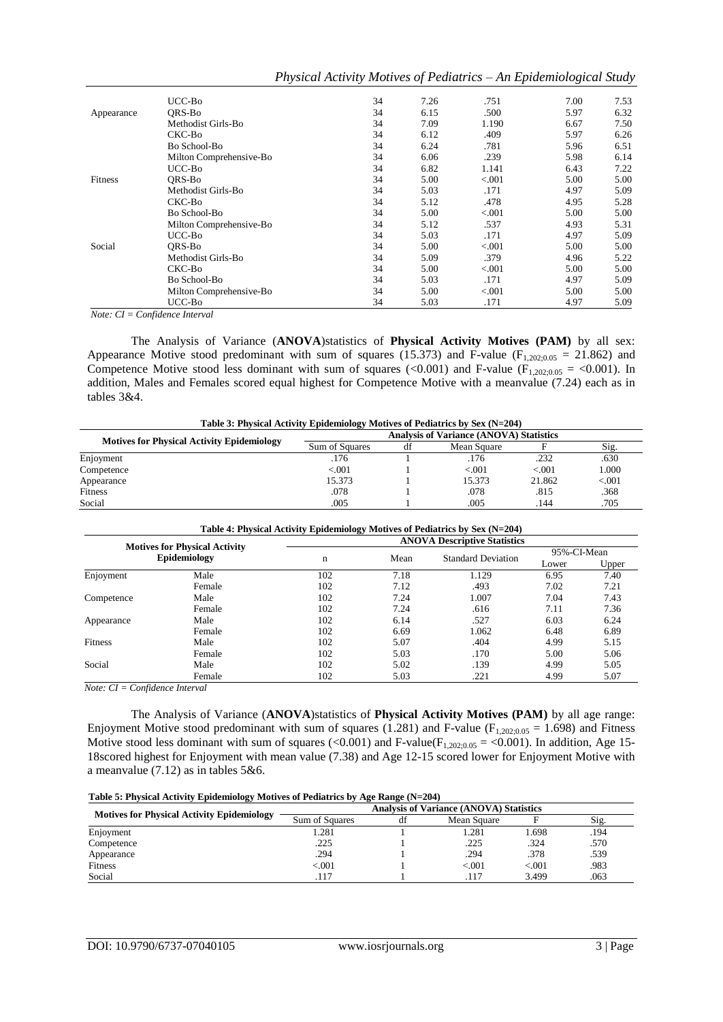| UCC-Bo             | 34 | 7.26                                                                          | .751      | 7.00 | 7.53                                                               |
|--------------------|----|-------------------------------------------------------------------------------|-----------|------|--------------------------------------------------------------------|
| ORS-Bo             | 34 | 6.15                                                                          | .500      | 5.97 | 6.32                                                               |
| Methodist Girls-Bo | 34 | 7.09                                                                          | 1.190     | 6.67 | 7.50                                                               |
| CKC-Bo             | 34 | 6.12                                                                          | .409      | 5.97 | 6.26                                                               |
| Bo School-Bo       | 34 | 6.24                                                                          | .781      | 5.96 | 6.51                                                               |
|                    | 34 | 6.06                                                                          | .239      | 5.98 | 6.14                                                               |
| UCC-Bo             | 34 | 6.82                                                                          | 1.141     | 6.43 | 7.22                                                               |
| ORS-Bo             | 34 | 5.00                                                                          | < 0.001   | 5.00 | 5.00                                                               |
| Methodist Girls-Bo | 34 | 5.03                                                                          | .171      | 4.97 | 5.09                                                               |
| CKC-Bo             | 34 | 5.12                                                                          | .478      | 4.95 | 5.28                                                               |
| Bo School-Bo       | 34 | 5.00                                                                          | ${<}.001$ | 5.00 | 5.00                                                               |
|                    | 34 | 5.12                                                                          | .537      | 4.93 | 5.31                                                               |
| $UCC-Bo$           | 34 | 5.03                                                                          | .171      | 4.97 | 5.09                                                               |
| ORS-Bo             | 34 | 5.00                                                                          | ${<}.001$ | 5.00 | 5.00                                                               |
| Methodist Girls-Bo | 34 | 5.09                                                                          | .379      | 4.96 | 5.22                                                               |
| CKC-Bo             | 34 | 5.00                                                                          | < 0.001   | 5.00 | 5.00                                                               |
| Bo School-Bo       | 34 | 5.03                                                                          | .171      | 4.97 | 5.09                                                               |
|                    | 34 | 5.00                                                                          | < 0.001   | 5.00 | 5.00                                                               |
| UCC-Bo             | 34 | 5.03                                                                          | .171      | 4.97 | 5.09                                                               |
|                    |    | Milton Comprehensive-Bo<br>Milton Comprehensive-Bo<br>Milton Comprehensive-Bo |           |      | Physical Activity Motives of Pealatrics – An Epidemiological Study |

*Physical Activity Motives of Pediatrics – An Epidemiological Study*

UCC-Bo 34 5.03 .171 4.97 5.09 *Note: CI = Confidence Interval*

The Analysis of Variance (**ANOVA**)statistics of **Physical Activity Motives (PAM)** by all sex: Appearance Motive stood predominant with sum of squares (15.373) and F-value ( $F_{1,202;0.05} = 21.862$ ) and Competence Motive stood less dominant with sum of squares (<0.001) and F-value ( $F_{1,202;0.05}$  = <0.001). In addition, Males and Females scored equal highest for Competence Motive with a meanvalue (7.24) each as in tables 3&4.

| Table 3: Physical Activity Epidemiology Motives of Pediatrics by Sex (N=204) |                                                |    |             |        |         |  |  |
|------------------------------------------------------------------------------|------------------------------------------------|----|-------------|--------|---------|--|--|
|                                                                              | <b>Analysis of Variance (ANOVA) Statistics</b> |    |             |        |         |  |  |
| <b>Motives for Physical Activity Epidemiology</b>                            | Sum of Squares                                 | df | Mean Square |        | Sig.    |  |  |
| Enjoyment                                                                    | .176                                           |    | .176        | .232   | .630    |  |  |
| Competence                                                                   | < 0.001                                        |    | ${<}001$    | < 0.01 | 1.000   |  |  |
| Appearance                                                                   | 15.373                                         |    | 15.373      | 21.862 | $-.001$ |  |  |
| Fitness                                                                      | .078                                           |    | .078        | .815   | .368    |  |  |
| Social                                                                       | .005                                           |    | .005        | .144   | .705    |  |  |

|                                                      |        |     |      | Table 4: Physical Activity Epidemiology Motives of Pediatrics by Sex (N=204)<br><b>ANOVA Descriptive Statistics</b> |               |               |
|------------------------------------------------------|--------|-----|------|---------------------------------------------------------------------------------------------------------------------|---------------|---------------|
| <b>Motives for Physical Activity</b><br>Epidemiology |        | n   | Mean | <b>Standard Deviation</b>                                                                                           | 95%-CI-Mean   |               |
| Enjoyment                                            | Male   | 102 | 7.18 | 1.129                                                                                                               | Lower<br>6.95 | Upper<br>7.40 |
|                                                      | Female | 102 | 7.12 | .493                                                                                                                | 7.02          | 7.21          |
| Competence                                           | Male   | 102 | 7.24 | 1.007                                                                                                               | 7.04          | 7.43          |
|                                                      | Female | 102 | 7.24 | .616                                                                                                                | 7.11          | 7.36          |
| Appearance                                           | Male   | 102 | 6.14 | .527                                                                                                                | 6.03          | 6.24          |
|                                                      | Female | 102 | 6.69 | 1.062                                                                                                               | 6.48          | 6.89          |
| Fitness                                              | Male   | 102 | 5.07 | .404                                                                                                                | 4.99          | 5.15          |
|                                                      | Female | 102 | 5.03 | .170                                                                                                                | 5.00          | 5.06          |
| Social                                               | Male   | 102 | 5.02 | .139                                                                                                                | 4.99          | 5.05          |
|                                                      | Female | 102 | 5.03 | .221                                                                                                                | 4.99          | 5.07          |

*Note: CI = Confidence Interval*

The Analysis of Variance (**ANOVA**)statistics of **Physical Activity Motives (PAM)** by all age range: Enjoyment Motive stood predominant with sum of squares (1.281) and F-value ( $F_{1,202;0.05} = 1.698$ ) and Fitness Motive stood less dominant with sum of squares (<0.001) and F-value( $F_{1,202;0.05} =$  <0.001). In addition, Age 15-18scored highest for Enjoyment with mean value (7.38) and Age 12-15 scored lower for Enjoyment Motive with a meanvalue (7.12) as in tables 5&6.

| Table 5: Physical Activity Epidemiology Motives of Pediatrics by Age Range (N=204) |  |  |
|------------------------------------------------------------------------------------|--|--|
|                                                                                    |  |  |

|                                                   | $\frac{1}{2}$<br>$\sim$<br><b>Analysis of Variance (ANOVA) Statistics</b> |    |             |        |      |  |  |
|---------------------------------------------------|---------------------------------------------------------------------------|----|-------------|--------|------|--|--|
| <b>Motives for Physical Activity Epidemiology</b> | Sum of Squares                                                            | df | Mean Square |        | Sig. |  |  |
| Enjoyment                                         | .281                                                                      |    | .281        | .698   | .194 |  |  |
| Competence                                        | .225                                                                      |    | .225        | .324   | .570 |  |  |
| Appearance                                        | .294                                                                      |    | .294        | .378   | .539 |  |  |
| Fitness                                           | < 0.01                                                                    |    | < 0.01      | < 0.01 | .983 |  |  |
| Social                                            | .117                                                                      |    | .117        | 3.499  | .063 |  |  |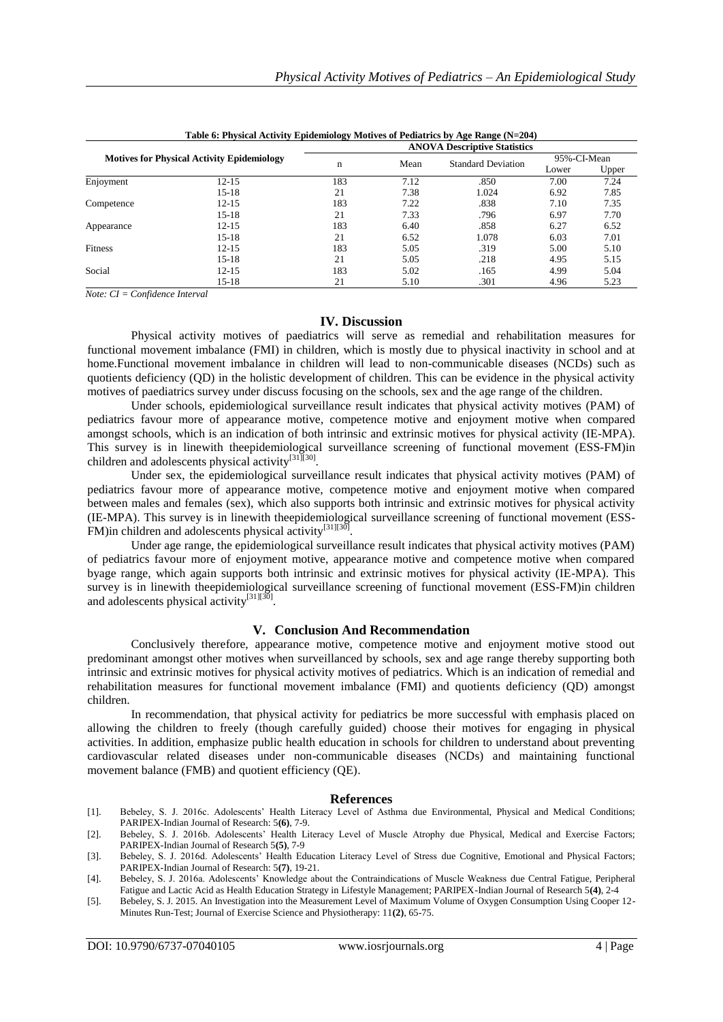|                |                                                   | <b>ANOVA Descriptive Statistics</b> |      |                           |             |       |  |
|----------------|---------------------------------------------------|-------------------------------------|------|---------------------------|-------------|-------|--|
|                | <b>Motives for Physical Activity Epidemiology</b> |                                     | Mean | <b>Standard Deviation</b> | 95%-CI-Mean |       |  |
|                |                                                   | $\mathbf n$                         |      |                           | Lower       | Upper |  |
| Enjoyment      | $12 - 15$                                         | 183                                 | 7.12 | .850                      | 7.00        | 7.24  |  |
|                | $15-18$                                           | 21                                  | 7.38 | 1.024                     | 6.92        | 7.85  |  |
| Competence     | $12 - 15$                                         | 183                                 | 7.22 | .838                      | 7.10        | 7.35  |  |
|                | $15 - 18$                                         | 21                                  | 7.33 | .796                      | 6.97        | 7.70  |  |
| Appearance     | $12 - 15$                                         | 183                                 | 6.40 | .858                      | 6.27        | 6.52  |  |
|                | $15 - 18$                                         | 21                                  | 6.52 | 1.078                     | 6.03        | 7.01  |  |
| <b>Fitness</b> | $12 - 15$                                         | 183                                 | 5.05 | .319                      | 5.00        | 5.10  |  |
|                | $15 - 18$                                         | 21                                  | 5.05 | .218                      | 4.95        | 5.15  |  |
| Social         | $12 - 15$                                         | 183                                 | 5.02 | .165                      | 4.99        | 5.04  |  |
|                | $15 - 18$                                         | 21                                  | 5.10 | .301                      | 4.96        | 5.23  |  |

**Table 6: Physical Activity Epidemiology Motives of Pediatrics by Age Range (N=204)**

*Note: CI = Confidence Interval*

# **IV. Discussion**

Physical activity motives of paediatrics will serve as remedial and rehabilitation measures for functional movement imbalance (FMI) in children, which is mostly due to physical inactivity in school and at home.Functional movement imbalance in children will lead to non-communicable diseases (NCDs) such as quotients deficiency (QD) in the holistic development of children. This can be evidence in the physical activity motives of paediatrics survey under discuss focusing on the schools, sex and the age range of the children.

Under schools, epidemiological surveillance result indicates that physical activity motives (PAM) of pediatrics favour more of appearance motive, competence motive and enjoyment motive when compared amongst schools, which is an indication of both intrinsic and extrinsic motives for physical activity (IE-MPA). This survey is in linewith theepidemiological surveillance screening of functional movement (ESS-FM)in children and adolescents physical activity<sup>[31][30]</sup>.

Under sex, the epidemiological surveillance result indicates that physical activity motives (PAM) of pediatrics favour more of appearance motive, competence motive and enjoyment motive when compared between males and females (sex), which also supports both intrinsic and extrinsic motives for physical activity (IE-MPA). This survey is in linewith theepidemiological surveillance screening of functional movement (ESS-FM)in children and adolescents physical activity<sup>[31][30]</sup> .

Under age range, the epidemiological surveillance result indicates that physical activity motives (PAM) of pediatrics favour more of enjoyment motive, appearance motive and competence motive when compared byage range, which again supports both intrinsic and extrinsic motives for physical activity (IE-MPA). This survey is in linewith theepidemiological surveillance screening of functional movement (ESS-FM)in children and adolescents physical activity<sup>[31][30]</sup>.

# **V. Conclusion And Recommendation**

Conclusively therefore, appearance motive, competence motive and enjoyment motive stood out predominant amongst other motives when surveillanced by schools, sex and age range thereby supporting both intrinsic and extrinsic motives for physical activity motives of pediatrics. Which is an indication of remedial and rehabilitation measures for functional movement imbalance (FMI) and quotients deficiency (QD) amongst children.

In recommendation, that physical activity for pediatrics be more successful with emphasis placed on allowing the children to freely (though carefully guided) choose their motives for engaging in physical activities. In addition, emphasize public health education in schools for children to understand about preventing cardiovascular related diseases under non-communicable diseases (NCDs) and maintaining functional movement balance (FMB) and quotient efficiency (QE).

# **References**

- [1]. Bebeley, S. J. 2016c. Adolescents' Health Literacy Level of Asthma due Environmental, Physical and Medical Conditions; PARIPEX-Indian Journal of Research: 5**(6)**, 7-9.
- [2]. Bebeley, S. J. 2016b. Adolescents' Health Literacy Level of Muscle Atrophy due Physical, Medical and Exercise Factors; PARIPEX-Indian Journal of Research 5**(5)**, 7-9
- [3]. Bebeley, S. J. 2016d. Adolescents' Health Education Literacy Level of Stress due Cognitive, Emotional and Physical Factors; PARIPEX-Indian Journal of Research: 5**(7)**, 19-21.
- [4]. Bebeley, S. J. 2016a. Adolescents' Knowledge about the Contraindications of Muscle Weakness due Central Fatigue, Peripheral Fatigue and Lactic Acid as Health Education Strategy in Lifestyle Management; PARIPEX-Indian Journal of Research 5**(4)**, 2-4
- [5]. Bebeley, S. J. 2015. An Investigation into the Measurement Level of Maximum Volume of Oxygen Consumption Using Cooper 12- Minutes Run-Test; Journal of Exercise Science and Physiotherapy: 11**(2)**, 65-75.